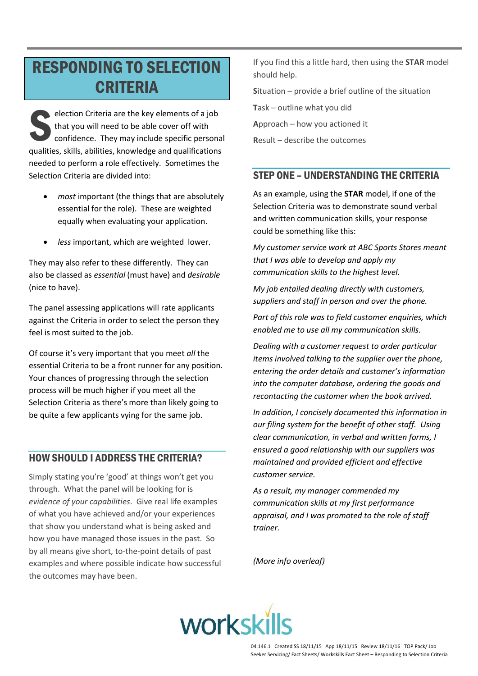# **RESPONDING TO SELECTION CRITERIA**

election Criteria are the key elements of a job that you will need to be able cover off with confidence. They may include specific personal qualities, skills, abilities, knowledge and qualifications needed to perform a role effectively. Sometimes the Selection Criteria are divided into:

- most important (the things that are absolutely essential for the role). These are weighted equally when evaluating your application.
- less important, which are weighted lower.

They may also refer to these differently. They can also be classed as essential (must have) and desirable (nice to have).

The panel assessing applications will rate applicants against the Criteria in order to select the person they feel is most suited to the job.

Of course it's very important that you meet all the essential Criteria to be a front runner for any position. Your chances of progressing through the selection process will be much higher if you meet all the Selection Criteria as there's more than likely going to be quite a few applicants vying for the same job.

## **HOW SHOULD I ADDRESS THE CRITERIA?**

Simply stating you're 'good' at things won't get you through. What the panel will be looking for is evidence of your capabilities. Give real life examples of what you have achieved and/or your experiences that show you understand what is being asked and how you have managed those issues in the past. So by all means give short, to-the-point details of past examples and where possible indicate how successful the outcomes may have been.

If you find this a little hard, then using the STAR model should help.

Situation  $-$  provide a brief outline of the situation

Task - outline what you did

Approach - how you actioned it

Result - describe the outcomes

## **STEP ONE - UNDERSTANDING THE CRITERIA**

As an example, using the **STAR** model, if one of the Selection Criteria was to demonstrate sound verbal and written communication skills, your response could be something like this:

My customer service work at ABC Sports Stores meant that I was able to develop and apply my communication skills to the highest level.

My job entailed dealing directly with customers. suppliers and staff in person and over the phone.

Part of this role was to field customer enauiries, which enabled me to use all my communication skills.

Dealing with a customer request to order particular items involved talking to the supplier over the phone, entering the order details and customer's information into the computer database, ordering the goods and recontacting the customer when the book arrived.

In addition, I concisely documented this information in our filing system for the benefit of other staff. Using clear communication, in verbal and written forms, I ensured a good relationship with our suppliers was maintained and provided efficient and effective customer service.

As a result, my manager commended my communication skills at my first performance appraisal, and I was promoted to the role of staff trainer.

(More info overleaf)